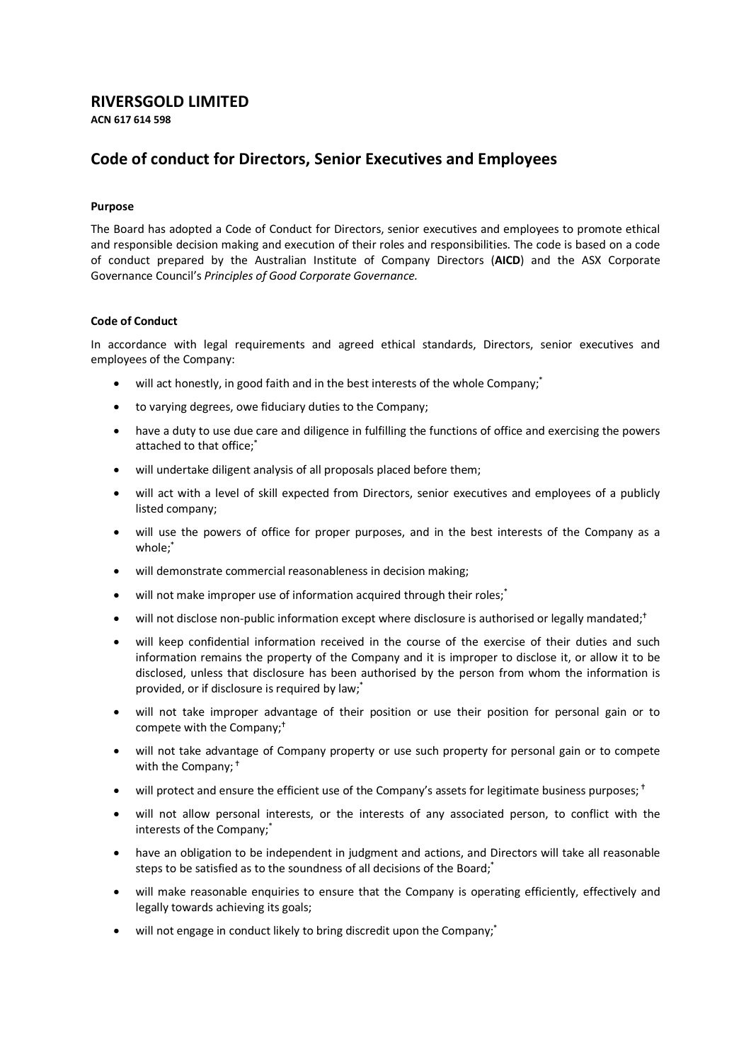## **RIVERSGOLD LIMITED**

**ACN 617 614 598**

## **Code of conduct for Directors, Senior Executives and Employees**

## **Purpose**

The Board has adopted a Code of Conduct for Directors, senior executives and employees to promote ethical and responsible decision making and execution of their roles and responsibilities. The code is based on a code of conduct prepared by the Australian Institute of Company Directors (**AICD**) and the ASX Corporate Governance Council's *Principles of Good Corporate Governance.*

## **Code of Conduct**

In accordance with legal requirements and agreed ethical standards, Directors, senior executives and employees of the Company:

- will act honestly, in good faith and in the best interests of the whole Company;<sup>\*</sup>
- to varying degrees, owe fiduciary duties to the Company;
- have a duty to use due care and diligence in fulfilling the functions of office and exercising the powers attached to that office;\*
- will undertake diligent analysis of all proposals placed before them;
- will act with a level of skill expected from Directors, senior executives and employees of a publicly listed company;
- will use the powers of office for proper purposes, and in the best interests of the Company as a whole;\*
- will demonstrate commercial reasonableness in decision making;
- will not make improper use of information acquired through their roles;<sup>\*</sup>
- will not disclose non-public information except where disclosure is authorised or legally mandated;<sup>†</sup>
- will keep confidential information received in the course of the exercise of their duties and such information remains the property of the Company and it is improper to disclose it, or allow it to be disclosed, unless that disclosure has been authorised by the person from whom the information is provided, or if disclosure is required by law;\*
- will not take improper advantage of their position or use their position for personal gain or to compete with the Company;
- will not take advantage of Company property or use such property for personal gain or to compete with the Company;<sup>†</sup>
- will protect and ensure the efficient use of the Company's assets for legitimate business purposes;  $\dagger$
- will not allow personal interests, or the interests of any associated person, to conflict with the interests of the Company;\*
- have an obligation to be independent in judgment and actions, and Directors will take all reasonable steps to be satisfied as to the soundness of all decisions of the Board;<sup>\*</sup>
- will make reasonable enquiries to ensure that the Company is operating efficiently, effectively and legally towards achieving its goals;
- will not engage in conduct likely to bring discredit upon the Company;<sup>\*</sup>